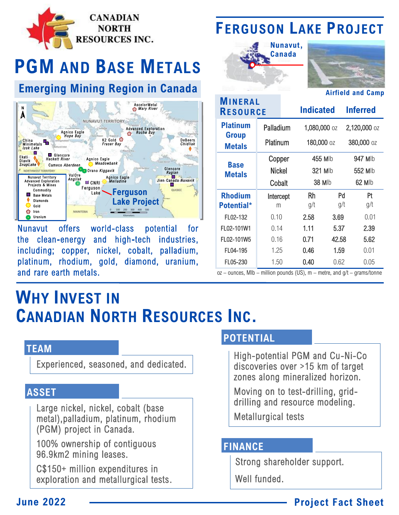

# **PGM AND BASE METALS**

## **Emerging Mining Region in Canada**



world-class **Nunavut offers** potential for the clean-energy and high-tech industries, including; copper, nickel, cobalt, palladium, platinum, rhodium, gold, diamond, uranium, and rare earth metals.

# **FERGUSON LAKE PROJECT**





**Airfield and Camp** 

| MINERAL<br><b>RESOURCE</b>    |           | <b>Indicated</b> |       | <b>Inferred</b> |  |
|-------------------------------|-----------|------------------|-------|-----------------|--|
| <b>Platinum</b>               | Palladium | 1,080,000 oz     |       | 2,120,000 oz    |  |
| <b>Group</b><br><b>Metals</b> | Platinum  | 180,000 oz       |       | 380,000 oz      |  |
| Base<br>Metals                | Copper    | 455 Mlb          |       | 947 Mlb         |  |
|                               | Nickel    | 321 Mlb          |       | 552 Mlb         |  |
|                               | Cobalt    | 38 Mlb           |       | 62 Mlb          |  |
| <b>Rhodium</b>                | Intercept | Rh               | Pd    | Pt              |  |
| <b>Potential*</b>             | m         | g/t              | g/t   | g/t             |  |
| FL02-132                      | 0.10      | 2.58             | 3.69  | 0.01            |  |
| FL02-101W1                    | 0.14      | 1.11             | 5.37  | 2.39            |  |
| FL02-101W5                    | 0.16      | 0.71             | 42.58 | 5.62            |  |
| FL04-195                      | 1.25      | 0.46             | 1.59  | 0.01            |  |
| FL05-230                      | 1.50      | 0.40             | 0.62  | 0.05            |  |

 $oz$  – ounces, MIb – million pounds (US), m – metre, and  $g/t$  – grams/tonne

# **WHY INVEST IN CANADIAN NORTH RESOURCES INC.**

#### **TEAM**

Experienced, seasoned, and dedicated.

#### **ASSET**

Large nickel, nickel, cobalt (base metal), palladium, platinum, rhodium (PGM) project in Canada.

100% ownership of contiguous 96.9km2 mining leases.

C\$150+ million expenditures in exploration and metallurgical tests.

### **POTENTIAL**

High-potential PGM and Cu-Ni-Co discoveries over >15 km of target zones along mineralized horizon.

Moving on to test-drilling, griddrilling and resource modeling.

**Metallurgical tests** 

#### **FINANCE**

Strong shareholder support.

Well funded.

### **Project Fact Sheet**